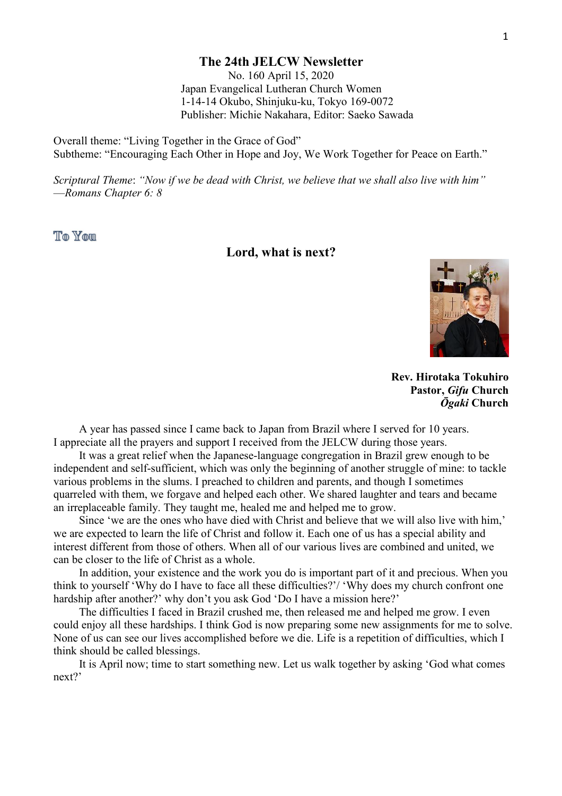#### **The 24th JELCW Newsletter**

No. 160 April 15, 2020 Japan Evangelical Lutheran Church Women 1-14-14 Okubo, Shinjuku-ku, Tokyo 169-0072 Publisher: Michie Nakahara, Editor: Saeko Sawada

Overall theme: "Living Together in the Grace of God" Subtheme: "Encouraging Each Other in Hope and Joy, We Work Together for Peace on Earth."

*Scriptural Theme*: *"Now if we be dead with Christ, we believe that we shall also live with him"* —*Romans Chapter 6: 8*

**The Your** 

## **Lord, what is next?**



**Rev. Hirotaka Tokuhiro Pastor,** *Gifu* **Church** *Ōgaki* **Church**

A year has passed since I came back to Japan from Brazil where I served for 10 years. I appreciate all the prayers and support I received from the JELCW during those years.

It was a great relief when the Japanese-language congregation in Brazil grew enough tobe independent and self-sufficient, which was only the beginning of another struggle of mine: to tackle various problems in the slums. I preached to children and parents, and though I sometimes quarreled with them, we forgave and helped each other. We shared laughter and tears and became an irreplaceable family. They taught me, healed me and helped me to grow.

Since 'we are the ones who have died with Christ and believe that we will also live with him,' we are expected to learn the life of Christ and follow it. Each one of us has a special ability and interest different from those of others. When all of our various lives are combined and united, we can be closer to the life of Christ as a whole.

In addition, your existence and the work you do is important part of it and precious. When you think to yourself 'Why do I have to face all these difficulties?'/ 'Why does my church confront one hardship after another?' why don't you ask God 'Do I have a mission here?'

The difficulties I faced in Brazil crushed me, then released me and helped me grow. I even could enjoy all these hardships. I think God is now preparing some new assignments for me to solve.<br>None of us can see our lives accomplished before we die. Life is a repetition of difficulties, which I think should be called blessings.

It is April now; time to start something new. Let us walk together by asking 'God what comes next?'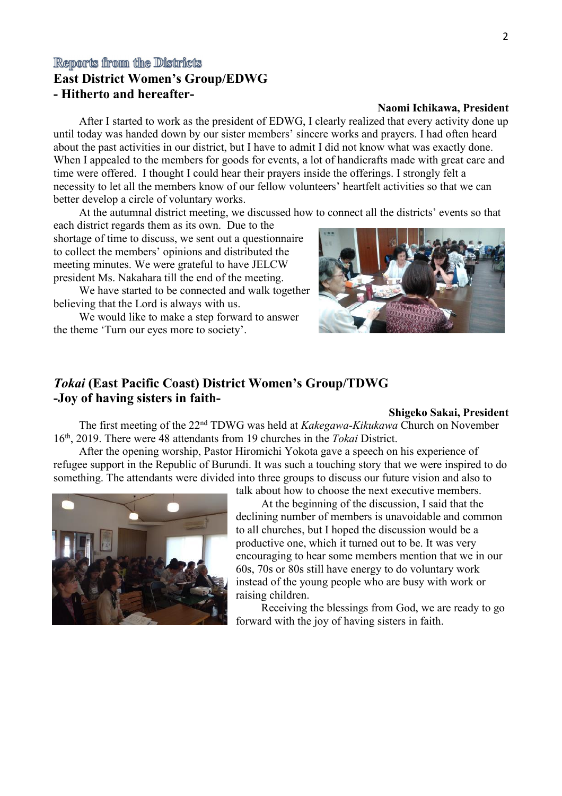## Reports from the Districts

## **East District Women's Group/EDWG - Hitherto and hereafter-**

#### **Naomi Ichikawa, President**

After I started to work as the president of EDWG, I clearly realized that every activity done up until today was handed down by our sister members' sincere works and prayers. I had often heard about the past activities in our district, but I have to admit I did not know what was exactly done. When I appealed to the members for goods for events, a lot of handicrafts made with great care and time were offered. I thought I could hear their prayers inside the offerings. I strongly felt a necessity to let all the members know of our fellow volunteers' heartfelt activities so that we can better develop a circle of voluntary works.

At the autumnal district meeting, we discussed how to connect all the districts' events so that

each district regards them as its own. Due to the shortage of time to discuss, we sent out a questionnaire to collect the members' opinions and distributed the meeting minutes. We were grateful to have JELCW president Ms. Nakahara till the end of the meeting.

We have started to be connected and walk together believing that the Lord is always with us.

We would like to make a step forward to answer the theme 'Turn our eyes more to society'.

## *Tokai* **(East Pacific Coast) District Women's Group/TDWG -Joy of having sisters in faith-**

#### **Shigeko Sakai, President**

The first meeting of the 22<sup>nd</sup> TDWG was held at *Kakegawa-Kikukawa* Church on November 16 th , 2019. There were 48 attendants from 19 churches in the *Tokai* District.

After the opening worship, Pastor Hiromichi Yokota gave a speech on his experience of refugee support in the Republic of Burundi. It was such a touching story that we were inspired to do something. The attendants were divided into three groups to discuss our future vision and also to



talk about how to choose the next executive members.

At the beginning of the discussion, I said that the declining number of members is unavoidable and common to all churches, but I hoped the discussion would be a productive one, which it turned out to be. It was very encouraging to hear some members mention that we in our  $60s$ , 70s or 80s still have energy to do voluntary work instead of the young people who are busy with work or raising children.

Receiving the blessings from God, we are ready to go forward with the joy of having sisters in faith.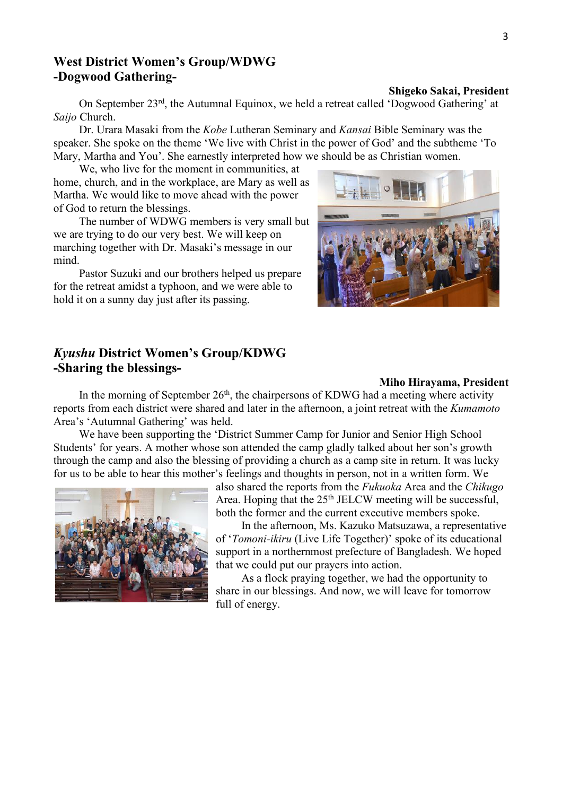## **West District Women's Group/WDWG -Dogwood Gathering-**

#### **Shigeko Sakai, President**

On September 23<sup>rd</sup>, the Autumnal Equinox, we held a retreat called 'Dogwood Gathering' at *Saijo* Church.

Dr. Urara Masaki from the *Kobe* Lutheran Seminary and *Kansai* Bible Seminary was the speaker. She spoke on the theme 'We live with Christ in the power of God' and the subtheme 'To Mary, Martha and You'. She earnestly interpreted how we should be as Christian women.

We, who live for the moment in communities, at home, church, and in the workplace, are Mary as well as Martha. We would like to move ahead with the power of God to return the blessings.

The number of WDWG members is very small but we are trying to do our very best. We will keep on marching together with Dr. Masaki's message in our mind.<br>Pastor Suzuki and our brothers helped us prepare

for the retreat amidst a typhoon, and we were able to hold it on a sunny day just after its passing.

## *Kyushu* **District Women's Group/KDWG -Sharing the blessings-**



#### **Miho Hirayama, President**

In the morning of September 26<sup>th</sup>, the chairpersons of KDWG had a meeting where activity reports from each district were shared and later in the afternoon, a joint retreat with the *Kumamoto* Area's 'Autumnal Gathering' was held.

We have been supporting the 'District Summer Camp for Junior and Senior High School Students' for years. A mother whose son attended the camp gladly talked about her son's growth through the camp and also the blessing of providing a church as a camp site in return. It was lucky for us to be able to hear this mother's feelings and thoughts in person, not in a written form. We



also shared the reports from the *Fukuoka* Area and the *Chikugo* Area. Hoping that the 25<sup>th</sup> JELCW meeting will be successful, both the former and the current executive members spoke.

In the afternoon, Ms. Kazuko Matsuzawa, a representative of '*Tomoni-ikiru* (Live Life Together)' spoke of its educational support in a northernmost prefecture of Bangladesh. We hoped that we could put our prayers into action.

As a flock praying together, we had the opportunity to share in our blessings. And now, we will leave for tomorrow full of energy.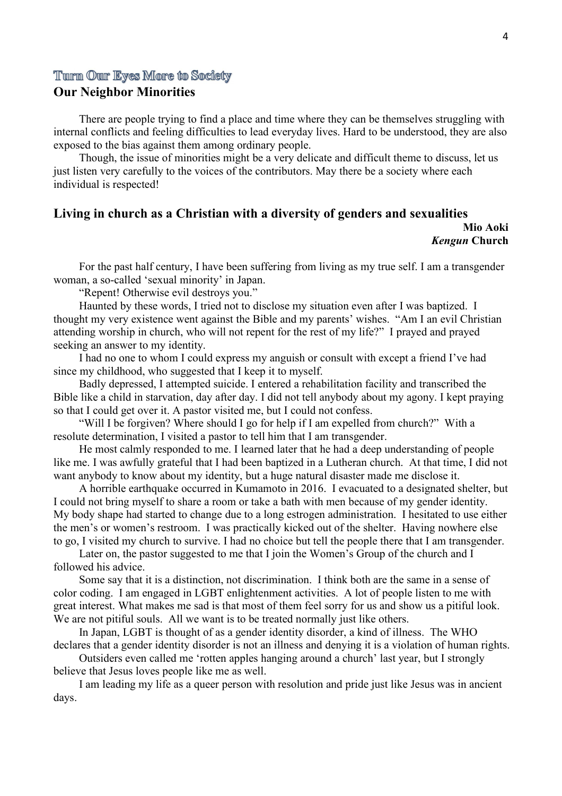## Turn Our Eyes More to Society

## **Our Neighbor Minorities**

There are people trying to find a place and time where they can be themselves struggling with internal conflicts and feeling difficulties to lead everyday lives. Hard to be understood, they are also exposed to the bias against them among ordinary people.

Though, the issue of minorities might be a very delicate and difficult theme to discuss, let us just listen very carefully to the voices of the contributors. May there be a society where each individual is respected!

## **Living in church as a Christian with a diversity of genders and sexualities Mio Aoki**

## *Kengun* **Church**

For the past half century, I have been suffering from living as my true self. I am a transgender woman, a so-called 'sexual minority' in Japan.

"Repent! Otherwise evil destroys you."

Haunted by these words, I tried not to disclose my situation even after I was baptized. I thought my very existence went against the Bible and my parents' wishes. "Am I an evil Christian attending worship in church, who will not repent for the rest of my life?" I prayed and prayed seeking an answer to my identity.

I had no one to whom I could express my anguish or consultwith except a friend I've had since my childhood, who suggested that I keep it to myself.

Badly depressed, I attempted suicide. I entered a rehabilitation facility and transcribed the Bible like a child in starvation, day after day. I did not tell anybody about my agony. I kept praying so that I could get over it. A pastor visited me, but I could not confess.

"Will I be forgiven? Where should I go for help if I am expelled from church?" With a resolute determination, I visited a pastor to tell him that I am transgender.

He most calmly responded to me. I learned later that he had a deep understanding of people like me. I was awfully grateful that I had been baptized in a Lutheran church. At that time, I did not want anybody to know about my identity, but a huge natural disaster made me disclose it.

A horrible earthquake occurred in Kumamoto in 2016. I evacuated to a designated shelter, but I could not bring myself to share a room or take a bath with men because of my gender identity. My body shape had started to change due to a long estrogen administration. I hesitated to use either the men's or women's restroom. I was practically kicked out of the shelter. Having nowhere else to go, I visited my church to survive. I had no choice but tell the people there that I am transgender.

Later on, the pastor suggested to me that I join the Women's Group of the church and I followed his advice.

Some say that it is a distinction, not discrimination. I think both are the same in a sense of color coding. I am engaged in LGBT enlightenment activities. A lot of people listen to me with great interest. What makes me sad is that most of them feel sorry for us and show us a pitiful look. We are not pitiful souls. All we want is to be treated normally just like others.

In Japan, LGBT is thought of as a gender identity disorder, a kind of illness. The WHO declares that a gender identity disorder is not an illness and denying it is a violation of human rights.

Outsiders even called me 'rotten apples hanging around a church' last year, but I strongly believe that Jesus loves people like me as well.

I am leading my life as a queer person with resolution and pride just like Jesus was in ancient days.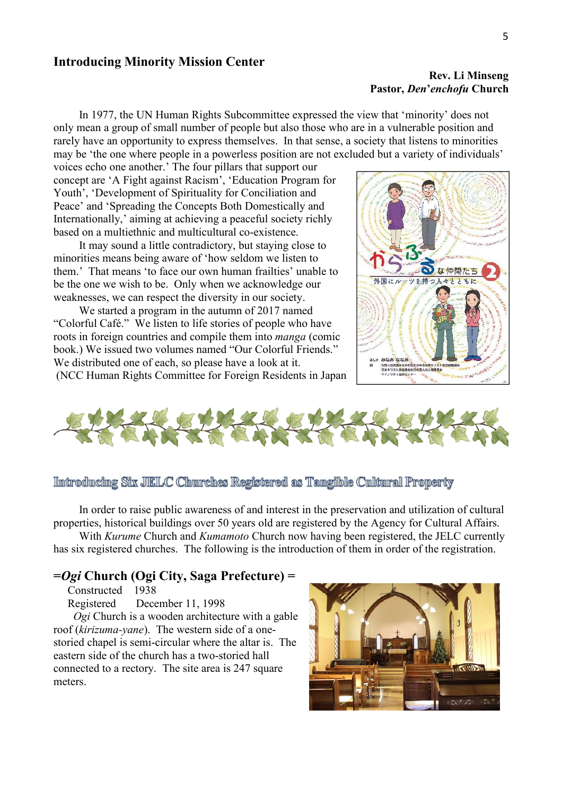### **Introducing Minority Mission Center**

#### **Rev. Li Minseng Pastor,** *Den***'***enchofu* **Church**

In 1977, the UN Human Rights Subcommittee expressed the view that 'minority' does not only mean a group of small number of people but also those who are in a vulnerable position and rarely have an opportunity to express themselves. In that sense, a society that listens to minorities may be 'the one where people in a powerless position are not excluded but a variety of individuals'

voices echo one another.' The four pillars that support our concept are 'A Fight against Racism', 'Education Program for Youth', 'Development of Spirituality for Conciliation and Peace' and 'Spreading the Concepts Both Domestically and Internationally,' aiming at achieving a peaceful society richly based on a multiethnic and multicultural co-existence.

It may sound a little contradictory, but staying close to minorities means being aware of 'how seldom we listen to them.' That means 'to face our own human frailties' unable to  $\frac{1}{\sqrt{|\mathbb{E}[\mathbb{E}[\mathcal{E}]} \times \mathbb{E}[\mathbb{E}[\mathbb{E}[\mathcal{E}]} \times \mathbb{E}[\mathbb{E}[\mathbb{E}[\mathbb{E}[\mathbb{E}[\mathbb{E}[\mathbb{E}[\mathbb{E}[\mathbb{E}[\mathbb{E}[\mathbb{E}[\mathbb{E}[\mathbb{E}[\mathbb{E}[\mathbb{E}[\mathbb{E}[\mathbb{E}$ be the one we wish to be. Only when we acknowledge our weaknesses, we can respect the diversity in our society.

We started a program in the autumn of 2017 named "Colorful Café." We listen to life stories of people who have roots in foreign countries and compile them into *manga* (comic book.) We issued two volumes named "Our Colorful Friends." We distributed one of each, so please have a look at it. (NCC Human Rights Committee for Foreign Residents in Japan)





### Imtroducing Six JIELC Churches Registered as Tangible Cultural Property

In order to raise public awareness of and interest in the preservation and utilization of cultural properties, historical buildings over 50 years old are registered by the Agency for Cultural Affairs.

With *Kurume* Church and *Kumamoto* Church now having been registered, the JELC currently has six registered churches. The following is the introduction of them in order of the registration.

## **=***Ogi* **Church (Ogi City, Saga Prefecture) =**

Constructed 1938

Registered December 11, 1998

*Ogi* Church is a wooden architecture with a gable roof (*kirizuma-yane*). The western side of a one storied chapel is semi-circular where the altar is. The eastern side of the church has a two-storied hall connected to a rectory. The site area is 247 square meters.

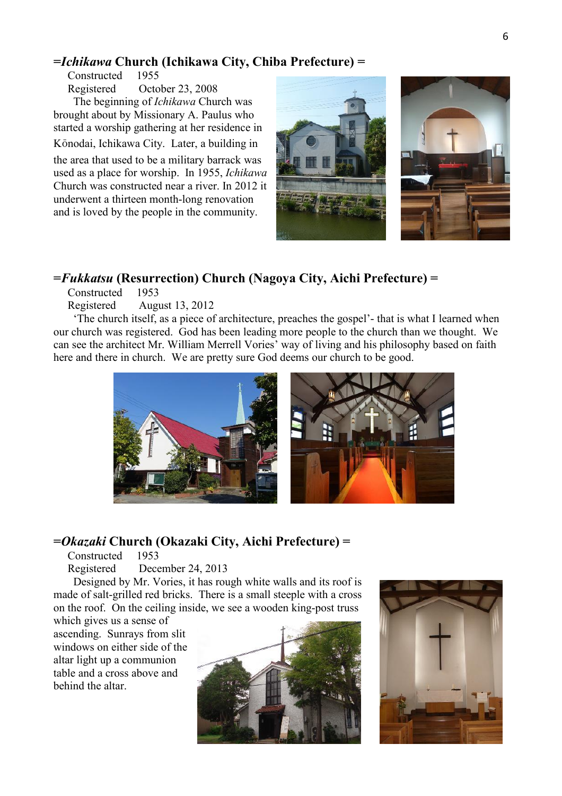## **=***Ichikawa* **Church (Ichikawa City, Chiba Prefecture) =**

Constructed 1955 Registered October 23,2008 The beginning of *Ichikawa* Church was brought about by Missionary A. Paulus who started a worship gathering at her residence in Kōnodai, Ichikawa City. Later, a building in

the area that used to be a military barrack was used as a place for worship. In 1955, *Ichikawa* Church was constructed near a river. In 2012 it underwent a thirteen month-long renovation and is loved by the people in the community.



## **=***Fukkatsu* **(Resurrection) Church (Nagoya City, Aichi Prefecture) =**

Constructed 1953

Registered August 13, 2012

'The church itself, as a piece of architecture, preaches the gospel'- that is what I learned when our church was registered. God has been leading more people to the church than we thought. We can see the architect Mr. William Merrell Vories' way of living and his philosophy based on faith here and there in church. We are pretty sure God deems our church to be good.



## **=***Okazaki* **Church (Okazaki City, Aichi Prefecture) =**

Constructed 1953

Registered December 24, 2013

Designed by Mr. Vories, it has rough white walls and its roof is made of salt-grilled red bricks. There is a small steeple with a cross on the roof. On the ceiling inside, we see a wooden king-post truss

which gives us a sense of ascending. Sunrays from slit windows on either side of the altar light up a communion table and a cross above and behind the altar.



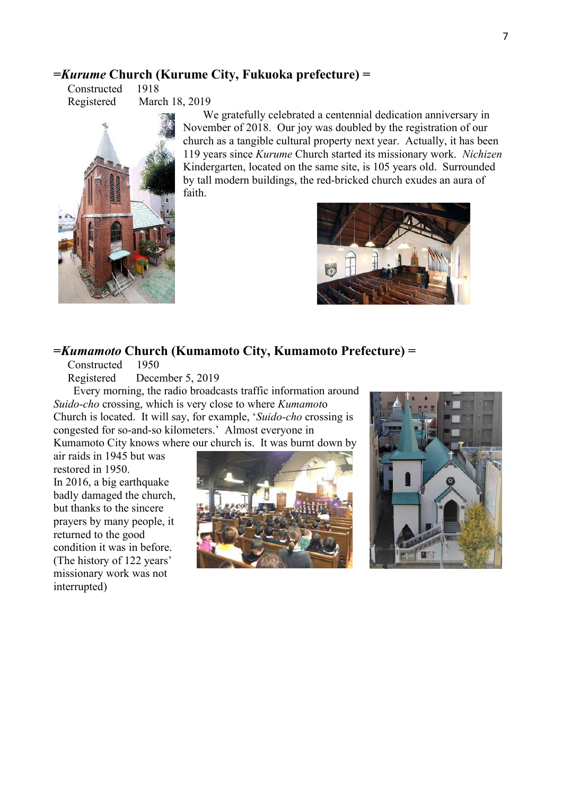## **=***Kurume* **Church (Kurume City, Fukuoka prefecture) =**

Constructed 1918 Registered March 18, 2019



We gratefully celebrated a centennial dedication anniversary in November of 2018. Our joy was doubled by the registration of our church as a tangible cultural property next year. Actually, it has been 119 years since *Kurume* Church started its missionary work. *Nichizen* Kindergarten, located on the same site, is 105 years old. Surrounded by tall modern buildings, the red-bricked church exudes an aura of faith.



## **=***Kumamoto* **Church (Kumamoto City, Kumamoto Prefecture) =**

Constructed 1950

Registered December 5, 2019

Every morning, the radio broadcasts traffic information around *Suido-cho* crossing, which is very close to where *Kumamot*o Church is located. It will say, for example, '*Suido-cho* crossing is congested for so-and-so kilometers.' Almost everyone in

Kumamoto City knows where our church is. It was burnt down by

air raids in 1945 but was restored in 1950. In 2016, a big earthquake badly damaged the church, but thanks to the sincere prayers by many people, it returned to the good condition it was in before. (The history of 122 years' missionary work was not interrupted)